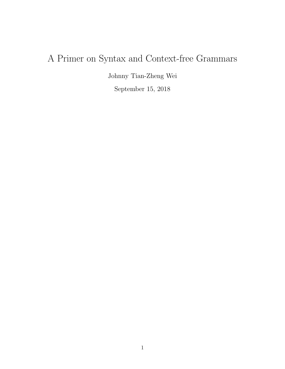# A Primer on Syntax and Context-free Grammars

Johnny Tian-Zheng Wei September 15, 2018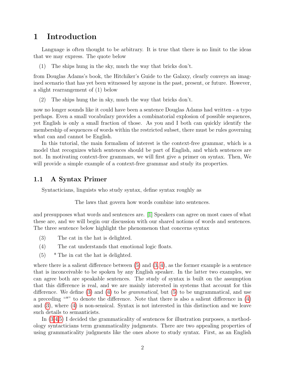## 1 Introduction

Language is often thought to be arbitrary. It is true that there is no limit to the ideas that we may express. The quote below

(1) The ships hung in the sky, much the way that bricks don't.

from Douglas Adams's book, the Hitchiker's Guide to the Galaxy, clearly conveys an imagined scenario that has yet been witnessed by anyone in the past, present, or future. However, a slight rearrangement of (1) below

(2) The ships hung the in sky, much the way that bricks don't.

now no longer sounds like it could have been a sentence Douglas Adams had written - a typo perhaps. Even a small vocabulary provides a combinatorial explosion of possible sequences, yet English is only a small fraction of those. As you and I both can quickly identify the membership of sequences of words within the restricted subset, there must be rules governing what can and cannot be English.

In this tutorial, the main formalism of interest is the context-free grammar, which is a model that recognizes which sentences should be part of English, and which sentences are not. In motivating context-free grammars, we will first give a primer on syntax. Then, We will provide a simple example of a context-free grammar and study its properties.

### <span id="page-1-3"></span>1.1 A Syntax Primer

Syntacticians, linguists who study syntax, define syntax roughly as

The laws that govern how words combine into sentences.

and presupposes what words and sentences are. [\[1\]](#page-8-0) Speakers can agree on most cases of what these are, and we will begin our discussion with our shared notions of words and sentences. The three sentence below highlight the phenomenon that concerns syntax

- <span id="page-1-1"></span>(3) The cat in the hat is delighted.
- <span id="page-1-2"></span>(4) The cat understands that emotional logic floats.
- <span id="page-1-0"></span>(5) \* The in cat the hat is delighted.

where there is a salient difference between  $(5)$  and  $(3, 4)$  $(3, 4)$ , as the former example is a sentence that is inconceivable to be spoken by any English speaker. In the latter two examples, we can agree both are speakable sentences. The study of syntax is built on the assumption that this difference is real, and we are mainly interested in systems that account for this difference. We define [\(3\)](#page-1-1) and [\(4\)](#page-1-2) to be *grammatical*, but [\(5\)](#page-1-0) to be ungrammatical, and use a preceding "\*" to denote the difference. Note that there is also a salient difference in  $(4)$ and [\(3\)](#page-1-1), where [\(4\)](#page-1-2) is non-sensical. Syntax is not interested in this distinction and we leave such details to semanticists.

In [\(3,](#page-1-1)[4,](#page-1-2)[5\)](#page-1-0) I decided the grammaticality of sentences for illustration purposes, a methodology syntacticians term grammaticality judgments. There are two appealing properties of using grammaticality judgments like the ones above to study syntax. First, as an English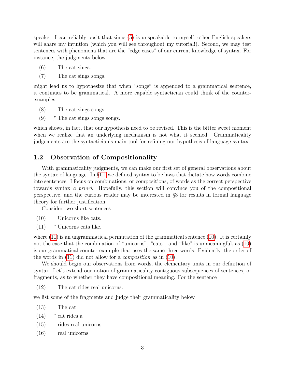speaker, I can reliably posit that since [\(5\)](#page-1-0) is unspeakable to myself, other English speakers will share my intuition (which you will see throughout my tutorial!). Second, we may test sentences with phenomena that are the "edge cases" of our current knowledge of syntax. For instance, the judgments below

- (6) The cat sings.
- (7) The cat sings songs.

might lead us to hypothesize that when "songs" is appended to a grammatical sentence, it continues to be grammatical. A more capable syntactician could think of the counterexamples

- (8) The cat sings songs.
- $(9)$  \* The cat sings songs songs.

which shows, in fact, that our hypothesis need to be revised. This is the bitter sweet moment when we realize that an underlying mechanism is not what it seemed. Grammaticality judgements are the syntactician's main tool for refining our hypothesis of language syntax.

#### 1.2 Observation of Compositionality

With grammaticality judgments, we can make our first set of general observations about the syntax of language. In §[1.1](#page-1-3) we defined syntax to be laws that dictate how words combine into sentences. I focus on combinations, or compositions, of words as the correct perspective towards syntax a priori. Hopefully, this section will convince you of the compositional perspective, and the curious reader may be interested in §3 for results in formal language theory for further justification.

Consider two short sentences

- <span id="page-2-1"></span>(10) Unicorns like cats.
- <span id="page-2-0"></span>(11) \* Unicorns cats like.

where  $(11)$  is an ungrammatical permutation of the grammatical sentence  $(10)$ . It is certainly not the case that the combination of "unicorns", "cats", and "like" is unmeaningful, as  $(10)$ is our grammatical counter-example that uses the same three words. Evidently, the order of the words in [\(11\)](#page-2-0) did not allow for a composition as in [\(10\)](#page-2-1).

We should begin our observations from words, the elementary units in our definition of syntax. Let's extend our notion of grammaticality contiguous subsequences of sentences, or fragments, as to whether they have compositional meaning. For the sentence

(12) The cat rides real unicorns.

we list some of the fragments and judge their grammaticality below

- <span id="page-2-2"></span>(13) The cat
- $(14)$  \* cat rides a
- <span id="page-2-3"></span>(15) rides real unicorns
- <span id="page-2-4"></span>(16) real unicorns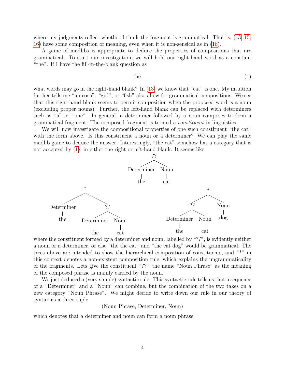where my judgments reflect whether I think the fragment is grammatical. That is, [\(13,](#page-2-2) [15,](#page-2-3) [16\)](#page-2-4) have some composition of meaning, even when it is non-sensical as in [\(16\)](#page-2-4).

A game of madlibs is appropriate to deduce the properties of compositions that are grammatical. To start our investigation, we will hold our right-hand word as a constant "the". If I have the fill-in-the-blank question as

<span id="page-3-0"></span>
$$
\underline{\text{the}} \qquad (1)
$$

what words may go in the right-hand blank? In [\(13\)](#page-2-2) we know that "cat" is one. My intuition further tells me "unicorn", "girl", or "fish" also allow for grammatical compositions. We see that this right-hand blank seems to permit composition when the proposed word is a noun (excluding proper nouns). Further, the left-hand blank can be replaced with determiners such as "a" or "one". In general, a determiner followed by a noun composes to form a grammatical fragment. The composed fragment is termed a constituent in linguistics.

We will now investigate the compositional properties of one such constituent "the cat" with the form above. Is this constituent a noun or a determiner? We can play the same madlib game to deduce the answer. Interestingly, "the cat" somehow has a category that is not accepted by [\(1\)](#page-3-0), in either the right or left-hand blank. It seems like



where the constituent formed by a determiner and noun, labelled by "??", is evidently neither a noun or a determiner, or else "the the cat" and "the cat dog" would be grammatical. The trees above are intended to show the hierarchical composition of constituents, and "\*" in this context denotes a non-existent composition rule, which explains the ungrammaticality of the fragments. Lets give the constituent "??" the name "Noun Phrase" as the meaning of the composed phrase is mainly carried by the noun.

We just deduced a (very simple) syntactic rule! This syntactic rule tells us that a sequence of a "Determiner" and a "Noun" can combine, but the combination of the two takes on a new category "Noun Phrase". We might decide to write down our rule in our theory of syntax as a three-tuple

(Noun Phrase, Determiner, Noun)

which denotes that a determiner and noun can form a noun phrase.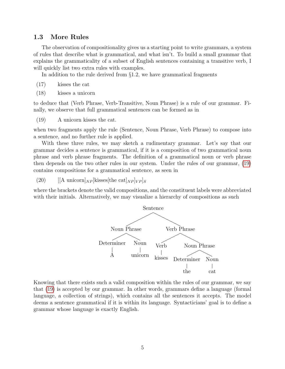#### 1.3 More Rules

The observation of compositionality gives us a starting point to write grammars, a system of rules that describe what is grammatical, and what isn't. To build a small grammar that explains the grammaticality of a subset of English sentences containing a transitive verb, I will quickly list two extra rules with examples.

In addition to the rule derived from §1.2, we have grammatical fragments

- (17) kisses the cat
- (18) kisses a unicorn

to deduce that (Verb Phrase, Verb-Transitive, Noun Phrase) is a rule of our grammar. Finally, we observe that full grammatical sentences can be formed as in

<span id="page-4-0"></span>(19) A unicorn kisses the cat.

when two fragments apply the rule (Sentence, Noun Phrase, Verb Phrase) to compose into a sentence, and no further rule is applied.

With these three rules, we may sketch a rudimentary grammar. Let's say that our grammar decides a sentence is grammatical, if it is a composition of two grammatical noun phrase and verb phrase fragments. The definition of a grammatical noun or verb phrase then depends on the two other rules in our system. Under the rules of our grammar, [\(19\)](#page-4-0) contains compositions for a grammatical sentence, as seen in

(20) [[A unicorn] $_{NP}$  [kisses [the cat] $_{NP}$  $|_{VP}$ ]s

where the brackets denote the valid compositions, and the constituent labels were abbreviated with their initials. Alternatively, we may visualize a hierarchy of compositions as such



Knowing that there exists such a valid composition within the rules of our grammar, we say that [\(19\)](#page-4-0) is accepted by our grammar. In other words, grammars define a language (formal language, a collection of strings), which contains all the sentences it accepts. The model deems a sentence grammatical if it is within its language. Syntacticians' goal is to define a grammar whose language is exactly English.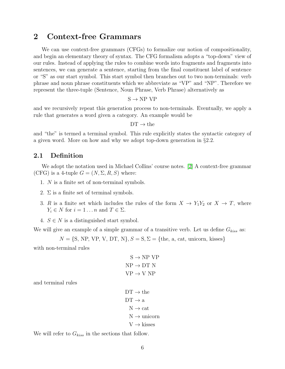## 2 Context-free Grammars

We can use context-free grammars (CFGs) to formalize our notion of compositionality, and begin an elementary theory of syntax. The CFG formalism adopts a "top-down" view of our rules. Instead of applying the rules to combine words into fragments and fragments into sentences, we can generate a sentence, starting from the final constituent label of sentence or "S" as our start symbol. This start symbol then branches out to two non-terminals: verb phrase and noun phrase constituents which we abbreviate as "VP" and "NP". Therefore we represent the three-tuple (Sentence, Noun Phrase, Verb Phrase) alternatively as

 $S \rightarrow NP VP$ 

and we recursively repeat this generation process to non-terminals. Eventually, we apply a rule that generates a word given a category. An example would be

 $DT \rightarrow the$ 

and "the" is termed a terminal symbol. This rule explicitly states the syntactic category of a given word. More on how and why we adopt top-down generation in §2.2.

#### 2.1 Definition

We adopt the notation used in Michael Collins' course notes. [\[2\]](#page-8-1) A context-free grammar (CFG) is a 4-tuple  $G = (N, \Sigma, R, S)$  where:

- 1. N is a finite set of non-terminal symbols.
- 2.  $\Sigma$  is a finite set of terminal symbols.
- 3. R is a finite set which includes the rules of the form  $X \to Y_1Y_2$  or  $X \to T$ , where  $Y_i \in N$  for  $i = 1 \dots n$  and  $T \in \Sigma$ .
- 4.  $S \in N$  is a distinguished start symbol.

We will give an example of a simple grammar of a transitive verb. Let us define  $G_{kiss}$  as:

$$
N = \{S, NP, VP, V, DT, N\}, S = S, \Sigma = \{\text{the, a, cat, unicorn, kisses}\}
$$

with non-terminal rules

$$
S \rightarrow NP VP
$$
  
NP  $\rightarrow$  DT N  
VP  $\rightarrow$  V NP

and terminal rules

$$
DT \rightarrow theDT \rightarrow aN \rightarrow catN \rightarrow unicornV \rightarrow kisses
$$

We will refer to  $G_{kiss}$  in the sections that follow.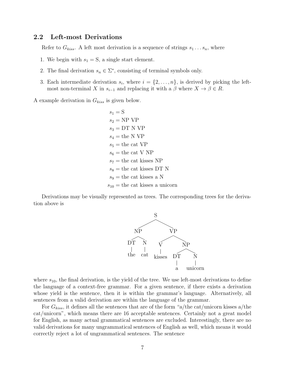#### 2.2 Left-most Derivations

Refer to  $G_{kiss}$ . A left most derivation is a sequence of strings  $s_1 \ldots s_n$ , where

- 1. We begin with  $s_1 = S$ , a single start element.
- 2. The final derivation  $s_n \in \Sigma^*$ , consisting of terminal symbols only.
- 3. Each intermediate derivation  $s_i$ , where  $i = \{2, \ldots, n\}$ , is derived by picking the leftmost non-terminal X in  $s_{i-1}$  and replacing it with a  $\beta$  where  $X \to \beta \in R$ .

A example derivation in  $G_{kiss}$  is given below.

 $s_1 = S$  $s_2 = NP VP$  $s_3 = DT N VP$  $s_4$  = the N VP  $s_5$  = the cat VP  $s_6$  = the cat V NP  $s_7$  = the cat kisses NP  $s_8$  = the cat kisses DT N  $s_9$  = the cat kisses a N  $s_{10}$  = the cat kisses a unicorn

Derivations may be visually represented as trees. The corresponding trees for the derivation above is



where  $s_{10}$ , the final derivation, is the yield of the tree. We use left-most derivations to define the language of a context-free grammar. For a given sentence, if there exists a derivation whose yield is the sentence, then it is within the grammar's language. Alternatively, all sentences from a valid derivation are within the language of the grammar.

For  $G_{kiss}$ , it defines all the sentences that are of the form "a/the cat/unicorn kisses a/the cat/unicorn", which means there are 16 acceptable sentences. Certainly not a great model for English, as many actual grammatical sentences are excluded. Interestingly, there are no valid derivations for many ungrammatical sentences of English as well, which means it would correctly reject a lot of ungrammatical sentences. The sentence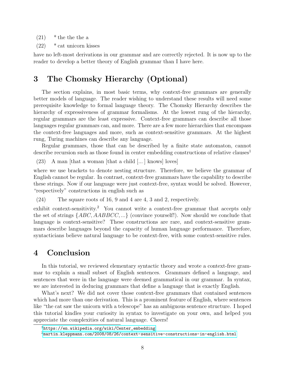$(21)$  \* the the the a

(22) \* cat unicorn kisses

have no left-most derivations in our grammar and are correctly rejected. It is now up to the reader to develop a better theory of English grammar than I have here.

# 3 The Chomsky Hierarchy (Optional)

The section explains, in most basic terms, why context-free grammars are generally better models of language. The reader wishing to understand these results will need some prerequisite knowledge to formal language theory. The Chomsky Hierarchy describes the hierarchy of expressiveness of grammar formalisms. At the lowest rung of the hierarchy, regular grammars are the least expressive. Context-free grammars can describe all those languages regular grammars can, and more. There are a few more hierarchies that encompass the context-free languages and more, such as context-sensitive grammars. At the highest rung, Turing machines can describe any language.

Regular grammars, those that can be described by a finite state automaton, cannot describe recursion such as those found in center embedding constructions of relative clauses<sup>1</sup>

(23) A man [that a woman [that a child [... ] knows] loves]

where we use brackets to denote nesting structure. Therefore, we believe the grammar of English cannot be regular. In contrast, context-free grammars have the capability to describe these strings. Now if our language were just context-free, syntax would be solved. However, "respectively" constructions in english such as

(24) The square roots of 16, 9 and 4 are 4, 3 and 2, respectively.

exhibit context-sensitivity.<sup>2</sup> You cannot write a context-free grammar that accepts only the set of strings  ${ABC, AABBCC, ...}$  (convince yourself!). Now should we conclude that language is context-sensitive? These constructions are rare, and context-sensitive grammars describe languages beyond the capacity of human language performance. Therefore, syntacticians believe natural language to be context-free, with some context-sensitive rules.

## 4 Conclusion

In this tutorial, we reviewed elementary syntactic theory and wrote a context-free grammar to explain a small subset of English sentences. Grammars defined a language, and sentences that were in the language were deemed grammatical in our grammar. In syntax, we are interested in deducing grammars that define a language that is exactly English.

What's next? We did not cover those context-free grammars that contained sentences which had more than one derivation. This is a prominent feature of English, where sentences like "the cat saw the unicorn with a telescope" has an ambiguous sentence structure. I hoped this tutorial kindles your curiosity in syntax to investigate on your own, and helped you appreciate the complexities of natural language. Cheers!

<sup>1</sup>[https://en.wikipedia.org/wiki/Center\\_embedding](https://en.wikipedia.org/wiki/Center_embedding)

<sup>2</sup><martin.kleppmann.com/2008/08/26/context-sensitive-constructions-in-english.html>